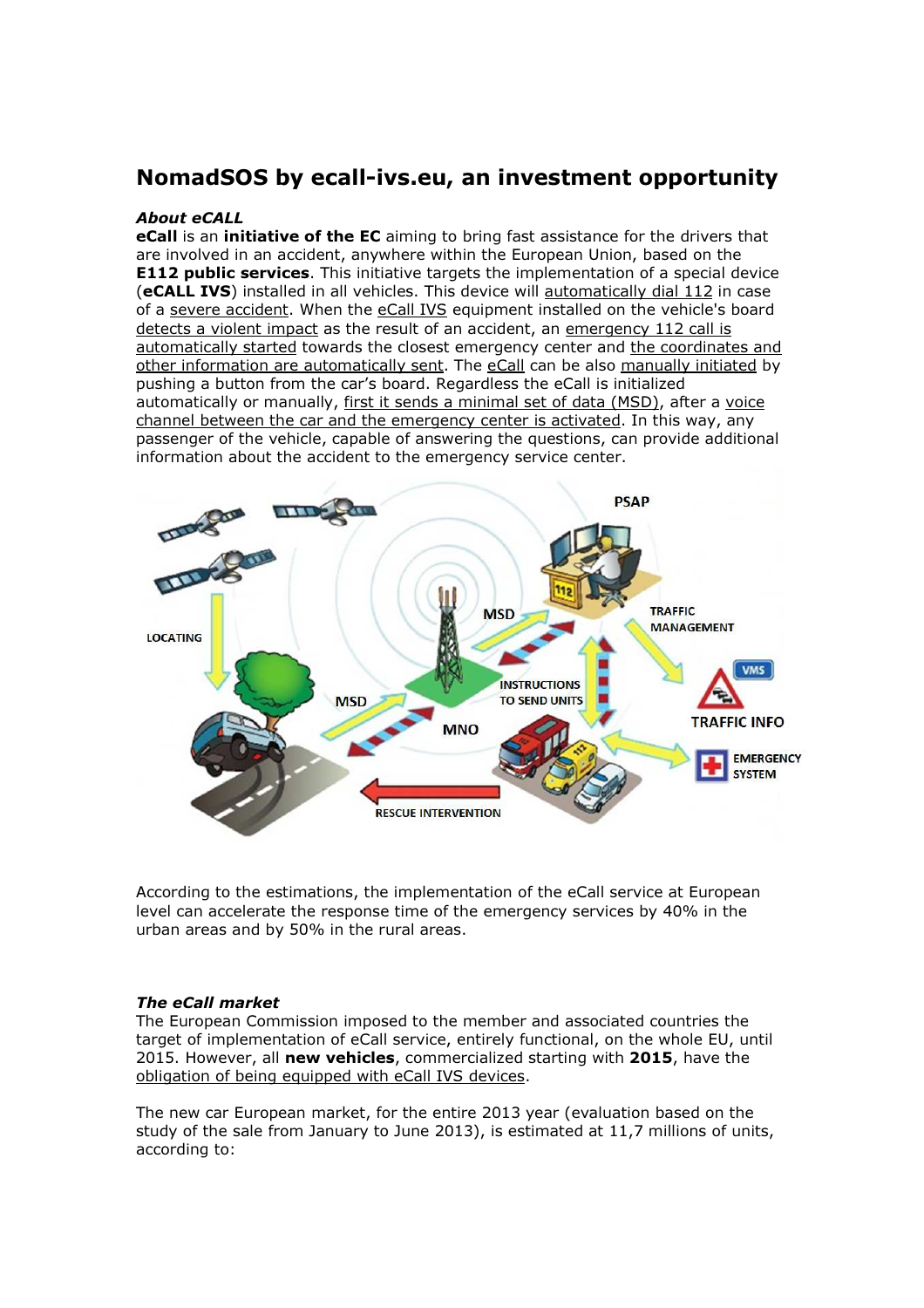# NomadSOS by ecall-ivs.eu, an investment opportunity

### About eCALL

eCall is an initiative of the EC aiming to bring fast assistance for the drivers that are involved in an accident, anywhere within the European Union, based on the **E112 public services.** This initiative targets the implementation of a special device (eCALL IVS) installed in all vehicles. This device will automatically dial 112 in case of a severe accident. When the eCall IVS equipment installed on the vehicle's board detects a violent impact as the result of an accident, an emergency 112 call is automatically started towards the closest emergency center and the coordinates and other information are automatically sent. The eCall can be also manually initiated by pushing a button from the car's board. Regardless the eCall is initialized automatically or manually, first it sends a minimal set of data (MSD), after a voice channel between the car and the emergency center is activated. In this way, any passenger of the vehicle, capable of answering the questions, can provide additional information about the accident to the emergency service center.



According to the estimations, the implementation of the eCall service at European level can accelerate the response time of the emergency services by 40% in the urban areas and by 50% in the rural areas.

#### The eCall market

The European Commission imposed to the member and associated countries the target of implementation of eCall service, entirely functional, on the whole EU, until 2015. However, all new vehicles, commercialized starting with 2015, have the obligation of being equipped with eCall IVS devices.

The new car European market, for the entire 2013 year (evaluation based on the study of the sale from January to June 2013), is estimated at 11,7 millions of units, according to: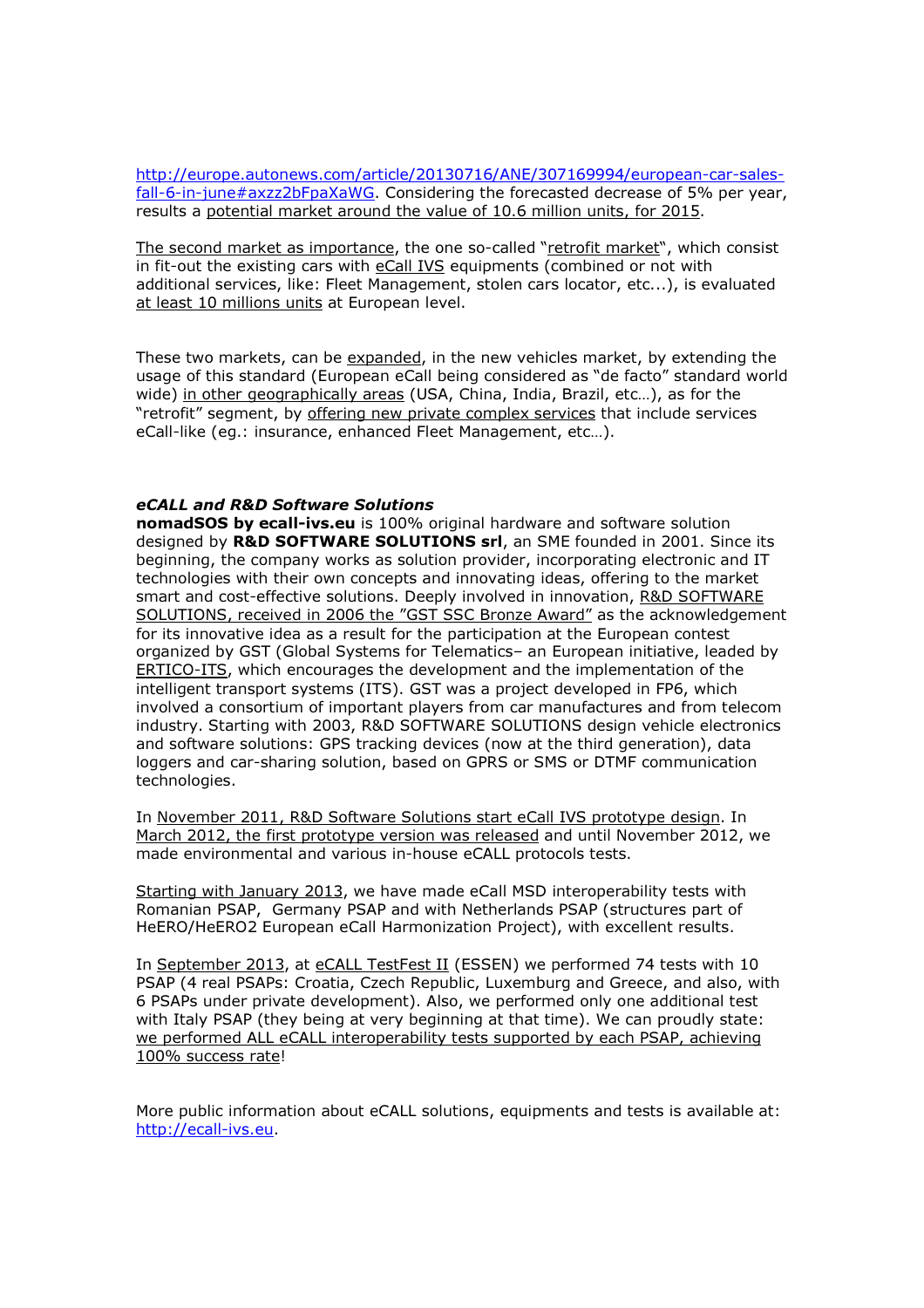http://europe.autonews.com/article/20130716/ANE/307169994/european-car-salesfall-6-in-june#axzz2bFpaXaWG. Considering the forecasted decrease of 5% per year, results a potential market around the value of 10.6 million units, for 2015.

The second market as importance, the one so-called "retrofit market", which consist in fit-out the existing cars with eCall IVS equipments (combined or not with additional services, like: Fleet Management, stolen cars locator, etc...), is evaluated at least 10 millions units at European level.

These two markets, can be expanded, in the new vehicles market, by extending the usage of this standard (European eCall being considered as "de facto" standard world wide) in other geographically areas (USA, China, India, Brazil, etc...), as for the "retrofit" segment, by offering new private complex services that include services eCall-like (eg.: insurance, enhanced Fleet Management, etc…).

### eCALL and R&D Software Solutions

nomadSOS by ecall-ivs.eu is 100% original hardware and software solution designed by R&D SOFTWARE SOLUTIONS srl, an SME founded in 2001. Since its beginning, the company works as solution provider, incorporating electronic and IT technologies with their own concepts and innovating ideas, offering to the market smart and cost-effective solutions. Deeply involved in innovation, R&D SOFTWARE SOLUTIONS, received in 2006 the "GST SSC Bronze Award" as the acknowledgement for its innovative idea as a result for the participation at the European contest organized by GST (Global Systems for Telematics– an European initiative, leaded by ERTICO-ITS, which encourages the development and the implementation of the intelligent transport systems (ITS). GST was a project developed in FP6, which involved a consortium of important players from car manufactures and from telecom industry. Starting with 2003, R&D SOFTWARE SOLUTIONS design vehicle electronics and software solutions: GPS tracking devices (now at the third generation), data loggers and car-sharing solution, based on GPRS or SMS or DTMF communication technologies.

In November 2011, R&D Software Solutions start eCall IVS prototype design. In March 2012, the first prototype version was released and until November 2012, we made environmental and various in-house eCALL protocols tests.

Starting with January 2013, we have made eCall MSD interoperability tests with Romanian PSAP, Germany PSAP and with Netherlands PSAP (structures part of HeERO/HeERO2 European eCall Harmonization Project), with excellent results.

In September 2013, at eCALL TestFest II (ESSEN) we performed 74 tests with 10 PSAP (4 real PSAPs: Croatia, Czech Republic, Luxemburg and Greece, and also, with 6 PSAPs under private development). Also, we performed only one additional test with Italy PSAP (they being at very beginning at that time). We can proudly state: we performed ALL eCALL interoperability tests supported by each PSAP, achieving 100% success rate!

More public information about eCALL solutions, equipments and tests is available at: http://ecall-ivs.eu.